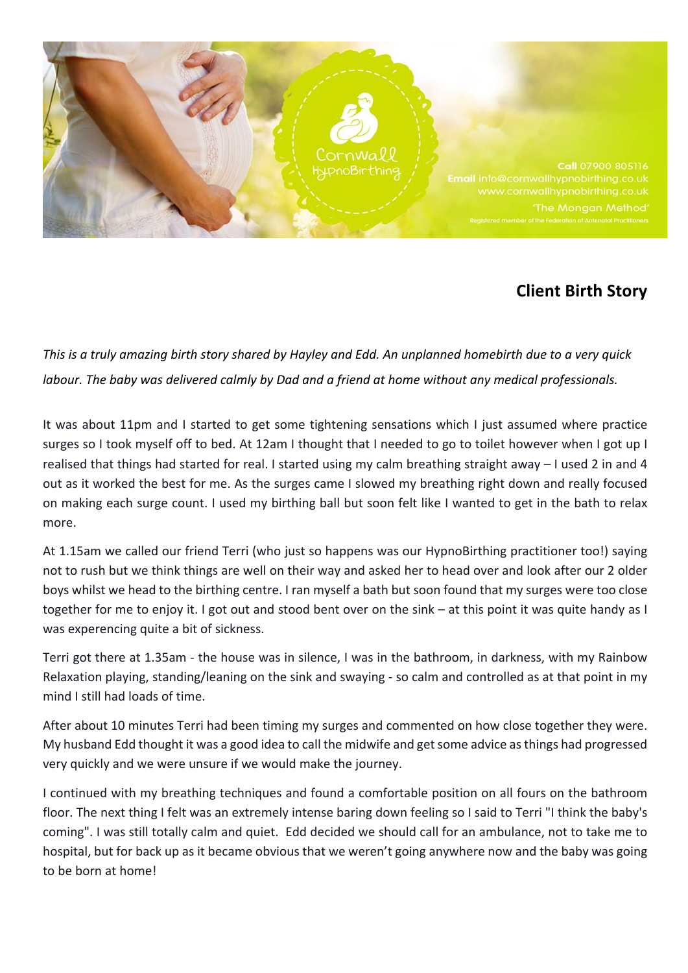

## **Client Birth Story**

*This* is a truly amazing birth story shared by Hayley and Edd. An unplanned homebirth due to a very quick *labour.* The baby was delivered calmly by Dad and a friend at home without any medical professionals.

It was about 11pm and I started to get some tightening sensations which I just assumed where practice surges so I took myself off to bed. At 12am I thought that I needed to go to toilet however when I got up I realised that things had started for real. I started using my calm breathing straight away – I used 2 in and 4 out as it worked the best for me. As the surges came I slowed my breathing right down and really focused on making each surge count. I used my birthing ball but soon felt like I wanted to get in the bath to relax more.

At 1.15am we called our friend Terri (who just so happens was our HypnoBirthing practitioner too!) saying not to rush but we think things are well on their way and asked her to head over and look after our 2 older boys whilst we head to the birthing centre. I ran myself a bath but soon found that my surges were too close together for me to enjoy it. I got out and stood bent over on the sink – at this point it was quite handy as I was experencing quite a bit of sickness.

Terri got there at 1.35am - the house was in silence, I was in the bathroom, in darkness, with my Rainbow Relaxation playing, standing/leaning on the sink and swaying - so calm and controlled as at that point in my mind I still had loads of time.

After about 10 minutes Terri had been timing my surges and commented on how close together they were. My husband Edd thought it was a good idea to call the midwife and get some advice as things had progressed very quickly and we were unsure if we would make the journey.

I continued with my breathing techniques and found a comfortable position on all fours on the bathroom floor. The next thing I felt was an extremely intense baring down feeling so I said to Terri "I think the baby's coming". I was still totally calm and quiet. Edd decided we should call for an ambulance, not to take me to hospital, but for back up as it became obvious that we weren't going anywhere now and the baby was going to be born at home!